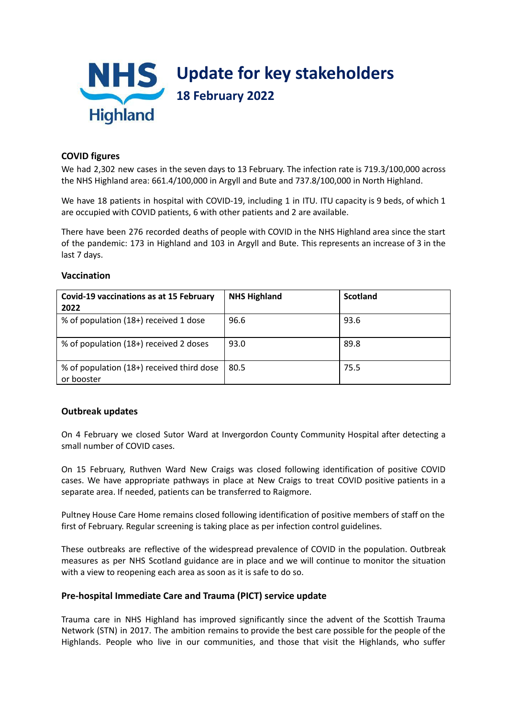

# **COVID figures**

We had 2,302 new cases in the seven days to 13 February. The infection rate is 719.3/100,000 across the NHS Highland area: 661.4/100,000 in Argyll and Bute and 737.8/100,000 in North Highland.

We have 18 patients in hospital with COVID-19, including 1 in ITU. ITU capacity is 9 beds, of which 1 are occupied with COVID patients, 6 with other patients and 2 are available.

There have been 276 recorded deaths of people with COVID in the NHS Highland area since the start of the pandemic: 173 in Highland and 103 in Argyll and Bute. This represents an increase of 3 in the last 7 days.

| Covid-19 vaccinations as at 15 February<br>2022         | <b>NHS Highland</b> | <b>Scotland</b> |
|---------------------------------------------------------|---------------------|-----------------|
| % of population (18+) received 1 dose                   | 96.6                | 93.6            |
| % of population (18+) received 2 doses                  | 93.0                | 89.8            |
| % of population (18+) received third dose<br>or booster | 80.5                | 75.5            |

### **Vaccination**

## **Outbreak updates**

On 4 February we closed Sutor Ward at Invergordon County Community Hospital after detecting a small number of COVID cases.

On 15 February, Ruthven Ward New Craigs was closed following identification of positive COVID cases. We have appropriate pathways in place at New Craigs to treat COVID positive patients in a separate area. If needed, patients can be transferred to Raigmore.

Pultney House Care Home remains closed following identification of positive members of staff on the first of February. Regular screening is taking place as per infection control guidelines.

These outbreaks are reflective of the widespread prevalence of COVID in the population. Outbreak measures as per NHS Scotland guidance are in place and we will continue to monitor the situation with a view to reopening each area as soon as it is safe to do so.

## **Pre-hospital Immediate Care and Trauma (PICT) service update**

Trauma care in NHS Highland has improved significantly since the advent of the Scottish Trauma Network (STN) in 2017. The ambition remains to provide the best care possible for the people of the Highlands. People who live in our communities, and those that visit the Highlands, who suffer